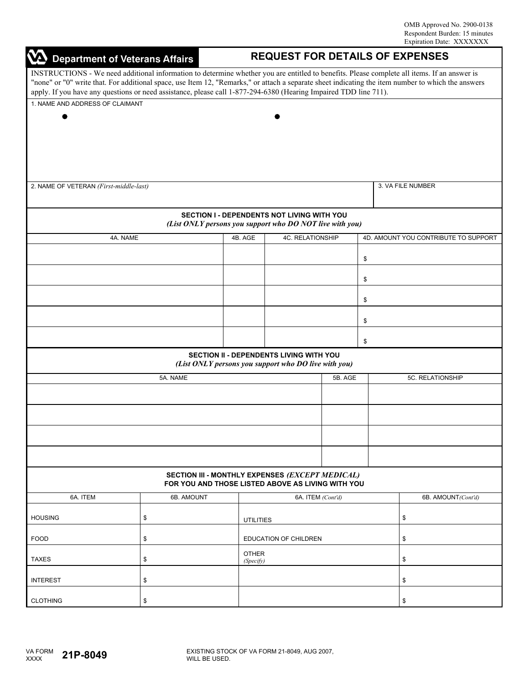|                                                                                                                                                                                                                                                                                                                                                                                                                       | <b>VA</b> Department of Veterans Affairs<br><b>REQUEST FOR DETAILS OF EXPENSES</b> |                           |                                                                                                      |    |    |                    |  |  |  |  |
|-----------------------------------------------------------------------------------------------------------------------------------------------------------------------------------------------------------------------------------------------------------------------------------------------------------------------------------------------------------------------------------------------------------------------|------------------------------------------------------------------------------------|---------------------------|------------------------------------------------------------------------------------------------------|----|----|--------------------|--|--|--|--|
| INSTRUCTIONS - We need additional information to determine whether you are entitled to benefits. Please complete all items. If an answer is<br>"none" or "0" write that. For additional space, use Item 12, "Remarks," or attach a separate sheet indicating the item number to which the answers<br>apply. If you have any questions or need assistance, please call 1-877-294-6380 (Hearing Impaired TDD line 711). |                                                                                    |                           |                                                                                                      |    |    |                    |  |  |  |  |
| 1. NAME AND ADDRESS OF CLAIMANT                                                                                                                                                                                                                                                                                                                                                                                       |                                                                                    |                           |                                                                                                      |    |    |                    |  |  |  |  |
|                                                                                                                                                                                                                                                                                                                                                                                                                       |                                                                                    |                           |                                                                                                      |    |    |                    |  |  |  |  |
|                                                                                                                                                                                                                                                                                                                                                                                                                       |                                                                                    |                           |                                                                                                      |    |    |                    |  |  |  |  |
|                                                                                                                                                                                                                                                                                                                                                                                                                       |                                                                                    |                           |                                                                                                      |    |    |                    |  |  |  |  |
|                                                                                                                                                                                                                                                                                                                                                                                                                       |                                                                                    |                           |                                                                                                      |    |    |                    |  |  |  |  |
|                                                                                                                                                                                                                                                                                                                                                                                                                       |                                                                                    |                           |                                                                                                      |    |    |                    |  |  |  |  |
| 2. NAME OF VETERAN (First-middle-last)                                                                                                                                                                                                                                                                                                                                                                                |                                                                                    |                           |                                                                                                      |    |    | 3. VA FILE NUMBER  |  |  |  |  |
|                                                                                                                                                                                                                                                                                                                                                                                                                       |                                                                                    |                           |                                                                                                      |    |    |                    |  |  |  |  |
|                                                                                                                                                                                                                                                                                                                                                                                                                       |                                                                                    |                           |                                                                                                      |    |    |                    |  |  |  |  |
|                                                                                                                                                                                                                                                                                                                                                                                                                       |                                                                                    |                           | SECTION I - DEPENDENTS NOT LIVING WITH YOU                                                           |    |    |                    |  |  |  |  |
| (List ONLY persons you support who DO NOT live with you)<br>4C. RELATIONSHIP<br>4D. AMOUNT YOU CONTRIBUTE TO SUPPORT<br>4B. AGE                                                                                                                                                                                                                                                                                       |                                                                                    |                           |                                                                                                      |    |    |                    |  |  |  |  |
| 4A. NAME                                                                                                                                                                                                                                                                                                                                                                                                              |                                                                                    |                           |                                                                                                      |    |    |                    |  |  |  |  |
|                                                                                                                                                                                                                                                                                                                                                                                                                       |                                                                                    |                           |                                                                                                      |    | \$ |                    |  |  |  |  |
|                                                                                                                                                                                                                                                                                                                                                                                                                       |                                                                                    |                           |                                                                                                      |    |    |                    |  |  |  |  |
|                                                                                                                                                                                                                                                                                                                                                                                                                       |                                                                                    |                           |                                                                                                      | \$ |    |                    |  |  |  |  |
|                                                                                                                                                                                                                                                                                                                                                                                                                       |                                                                                    |                           |                                                                                                      |    | \$ |                    |  |  |  |  |
|                                                                                                                                                                                                                                                                                                                                                                                                                       |                                                                                    |                           |                                                                                                      |    | \$ |                    |  |  |  |  |
|                                                                                                                                                                                                                                                                                                                                                                                                                       |                                                                                    |                           |                                                                                                      |    | \$ |                    |  |  |  |  |
|                                                                                                                                                                                                                                                                                                                                                                                                                       |                                                                                    |                           | SECTION II - DEPENDENTS LIVING WITH YOU                                                              |    |    |                    |  |  |  |  |
|                                                                                                                                                                                                                                                                                                                                                                                                                       |                                                                                    |                           | (List ONLY persons you support who DO live with you)                                                 |    |    |                    |  |  |  |  |
|                                                                                                                                                                                                                                                                                                                                                                                                                       | 5A. NAME                                                                           |                           | 5B. AGE                                                                                              |    |    | 5C. RELATIONSHIP   |  |  |  |  |
|                                                                                                                                                                                                                                                                                                                                                                                                                       |                                                                                    |                           |                                                                                                      |    |    |                    |  |  |  |  |
|                                                                                                                                                                                                                                                                                                                                                                                                                       |                                                                                    |                           |                                                                                                      |    |    |                    |  |  |  |  |
|                                                                                                                                                                                                                                                                                                                                                                                                                       |                                                                                    |                           |                                                                                                      |    |    |                    |  |  |  |  |
|                                                                                                                                                                                                                                                                                                                                                                                                                       |                                                                                    |                           |                                                                                                      |    |    |                    |  |  |  |  |
|                                                                                                                                                                                                                                                                                                                                                                                                                       |                                                                                    |                           | SECTION III - MONTHLY EXPENSES (EXCEPT MEDICAL)<br>FOR YOU AND THOSE LISTED ABOVE AS LIVING WITH YOU |    |    |                    |  |  |  |  |
| 6A. ITEM                                                                                                                                                                                                                                                                                                                                                                                                              | 6B. AMOUNT                                                                         |                           |                                                                                                      |    |    |                    |  |  |  |  |
|                                                                                                                                                                                                                                                                                                                                                                                                                       |                                                                                    |                           | 6A. ITEM (Cont'd)                                                                                    |    |    | 6B. AMOUNT(Cont'd) |  |  |  |  |
| <b>HOUSING</b>                                                                                                                                                                                                                                                                                                                                                                                                        | \$                                                                                 | <b>UTILITIES</b>          |                                                                                                      |    |    | \$                 |  |  |  |  |
|                                                                                                                                                                                                                                                                                                                                                                                                                       |                                                                                    |                           |                                                                                                      |    |    |                    |  |  |  |  |
| <b>FOOD</b>                                                                                                                                                                                                                                                                                                                                                                                                           | \$                                                                                 | EDUCATION OF CHILDREN     |                                                                                                      |    |    | \$                 |  |  |  |  |
| <b>TAXES</b>                                                                                                                                                                                                                                                                                                                                                                                                          | \$                                                                                 | <b>OTHER</b><br>(Specify) |                                                                                                      |    |    | \$                 |  |  |  |  |
| <b>INTEREST</b>                                                                                                                                                                                                                                                                                                                                                                                                       | \$                                                                                 |                           |                                                                                                      |    |    | \$                 |  |  |  |  |
| <b>CLOTHING</b>                                                                                                                                                                                                                                                                                                                                                                                                       | \$                                                                                 |                           |                                                                                                      |    |    | \$                 |  |  |  |  |